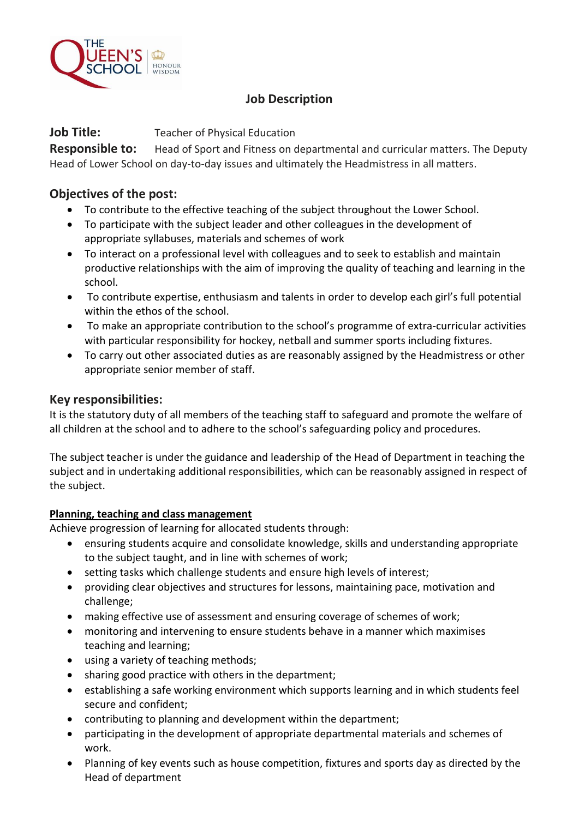

# **Job Description**

**Job Title:** Teacher of Physical Education

**Responsible to:** Head of Sport and Fitness on departmental and curricular matters. The Deputy Head of Lower School on day-to-day issues and ultimately the Headmistress in all matters.

## **Objectives of the post:**

- To contribute to the effective teaching of the subject throughout the Lower School.
- To participate with the subject leader and other colleagues in the development of appropriate syllabuses, materials and schemes of work
- To interact on a professional level with colleagues and to seek to establish and maintain productive relationships with the aim of improving the quality of teaching and learning in the school.
- To contribute expertise, enthusiasm and talents in order to develop each girl's full potential within the ethos of the school.
- To make an appropriate contribution to the school's programme of extra-curricular activities with particular responsibility for hockey, netball and summer sports including fixtures.
- To carry out other associated duties as are reasonably assigned by the Headmistress or other appropriate senior member of staff.

### **Key responsibilities:**

It is the statutory duty of all members of the teaching staff to safeguard and promote the welfare of all children at the school and to adhere to the school's safeguarding policy and procedures.

The subject teacher is under the guidance and leadership of the Head of Department in teaching the subject and in undertaking additional responsibilities, which can be reasonably assigned in respect of the subject.

### **Planning, teaching and class management**

Achieve progression of learning for allocated students through:

- ensuring students acquire and consolidate knowledge, skills and understanding appropriate to the subject taught, and in line with schemes of work;
- setting tasks which challenge students and ensure high levels of interest;
- providing clear objectives and structures for lessons, maintaining pace, motivation and challenge;
- making effective use of assessment and ensuring coverage of schemes of work;
- monitoring and intervening to ensure students behave in a manner which maximises teaching and learning;
- using a variety of teaching methods;
- sharing good practice with others in the department;
- establishing a safe working environment which supports learning and in which students feel secure and confident;
- contributing to planning and development within the department;
- participating in the development of appropriate departmental materials and schemes of work.
- Planning of key events such as house competition, fixtures and sports day as directed by the Head of department